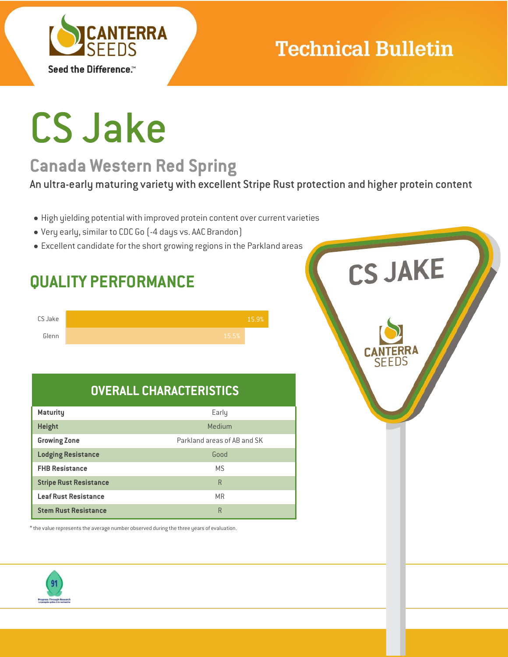

## **Technical Bulletin**

# CS Jake

## **Canada Western Red Spring**

An ultra-early maturing variety with excellent Stripe Rust protection and higher protein content

- High yielding potential with improved protein content over current varieties
- Very early, similar to CDC Go (-4 days vs. AACBrandon)
- Excellent candidate for the short growing regions in the Parkland areas





### **OVERALL CHARACTERISTICS**

| <b>Maturity</b>               | Early                       |
|-------------------------------|-----------------------------|
| <b>Height</b>                 | Medium                      |
| <b>Growing Zone</b>           | Parkland areas of AB and SK |
| <b>Lodging Resistance</b>     | Good                        |
| <b>FHB Resistance</b>         | <b>MS</b>                   |
| <b>Stripe Rust Resistance</b> | R                           |
| <b>Leaf Rust Resistance</b>   | <b>MR</b>                   |
| <b>Stem Rust Resistance</b>   | R                           |

\*the value represents the average number observed during the three years of evaluation.



**CS JAKE**